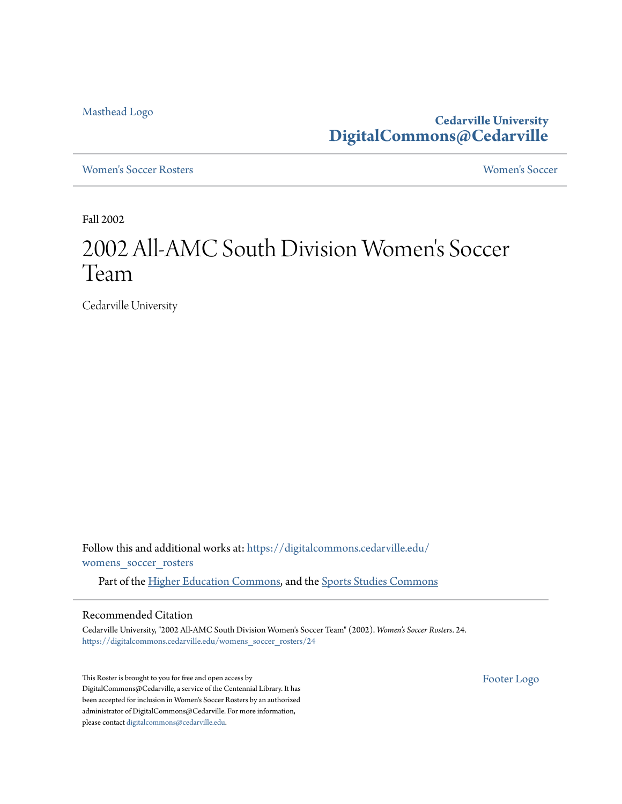[Masthead Logo](http://www.cedarville.edu/?utm_source=digitalcommons.cedarville.edu%2Fwomens_soccer_rosters%2F24&utm_medium=PDF&utm_campaign=PDFCoverPages)

**Cedarville University [DigitalCommons@Cedarville](https://digitalcommons.cedarville.edu?utm_source=digitalcommons.cedarville.edu%2Fwomens_soccer_rosters%2F24&utm_medium=PDF&utm_campaign=PDFCoverPages)**

[Women's Soccer Rosters](https://digitalcommons.cedarville.edu/womens_soccer_rosters?utm_source=digitalcommons.cedarville.edu%2Fwomens_soccer_rosters%2F24&utm_medium=PDF&utm_campaign=PDFCoverPages) [Women's Soccer](https://digitalcommons.cedarville.edu/womens_soccer?utm_source=digitalcommons.cedarville.edu%2Fwomens_soccer_rosters%2F24&utm_medium=PDF&utm_campaign=PDFCoverPages)

Fall 2002

## 2002 All-AMC South Division Women 's Soccer Team

Cedarville University

Follow this and additional works at: [https://digitalcommons.cedarville.edu/](https://digitalcommons.cedarville.edu/womens_soccer_rosters?utm_source=digitalcommons.cedarville.edu%2Fwomens_soccer_rosters%2F24&utm_medium=PDF&utm_campaign=PDFCoverPages) [womens\\_soccer\\_rosters](https://digitalcommons.cedarville.edu/womens_soccer_rosters?utm_source=digitalcommons.cedarville.edu%2Fwomens_soccer_rosters%2F24&utm_medium=PDF&utm_campaign=PDFCoverPages)

Part of the [Higher Education Commons](http://network.bepress.com/hgg/discipline/1245?utm_source=digitalcommons.cedarville.edu%2Fwomens_soccer_rosters%2F24&utm_medium=PDF&utm_campaign=PDFCoverPages), and the [Sports Studies Commons](http://network.bepress.com/hgg/discipline/1198?utm_source=digitalcommons.cedarville.edu%2Fwomens_soccer_rosters%2F24&utm_medium=PDF&utm_campaign=PDFCoverPages)

## Recommended Citation

Cedarville University, "2002 All-AMC South Division Women's Soccer Team" (2002). *Women's Soccer Rosters*. 24. [https://digitalcommons.cedarville.edu/womens\\_soccer\\_rosters/24](https://digitalcommons.cedarville.edu/womens_soccer_rosters/24?utm_source=digitalcommons.cedarville.edu%2Fwomens_soccer_rosters%2F24&utm_medium=PDF&utm_campaign=PDFCoverPages)

This Roster is brought to you for free and open access by DigitalCommons@Cedarville, a service of the Centennial Library. It has been accepted for inclusion in Women's Soccer Rosters by an authorized administrator of DigitalCommons@Cedarville. For more information, please contact [digitalcommons@cedarville.edu.](mailto:digitalcommons@cedarville.edu)

[Footer Logo](http://www.cedarville.edu/Academics/Library.aspx?utm_source=digitalcommons.cedarville.edu%2Fwomens_soccer_rosters%2F24&utm_medium=PDF&utm_campaign=PDFCoverPages)